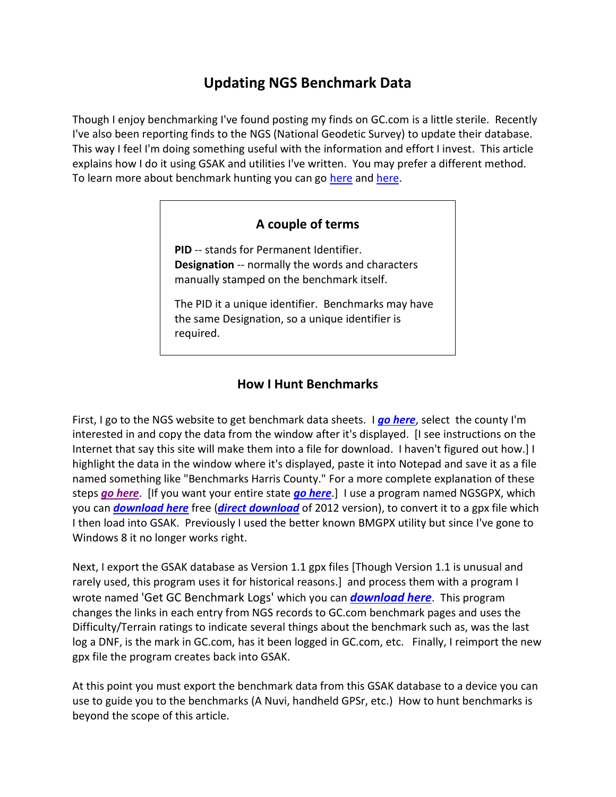## **Updating NGS Benchmark Data**

Though I enjoy benchmarking I've found posting my finds on GC.com is a little sterile. Recently I've also been reporting finds to the NGS (National Geodetic Survey) to update their database. This way I feel I'm doing something useful with the information and effort I invest. This article explains how I do it using GSAK and utilities I've written. You may prefer a different method. To learn more about benchmark hunting you can go [here](http://www.geocaching.com/mark/) and [here.](http://www.wvbike.org/west_fork_trail/benchmark.html)

## **A couple of terms**

**PID** -- stands for Permanent Identifier. **Designation** -- normally the words and characters manually stamped on the benchmark itself.

The PID it a unique identifier. Benchmarks may have the same Designation, so a unique identifier is required.

## **How I Hunt Benchmarks**

First, I go to the NGS website to get benchmark data sheets. I *[go here](http://www.ngs.noaa.gov/cgi-bin/ds_county.prl)*, select the county I'm interested in and copy the data from the window after it's displayed. [I see instructions on the Internet that say this site will make them into a file for download. I haven't figured out how.] I highlight the data in the window where it's displayed, paste it into Notepad and save it as a file named something like "Benchmarks Harris County." For a more complete explanation of these steps *[go here](http://www.factsfacts.com/benchmarking/NGSdatabase.htm)*. [If you want your entire state *[go here](ftp://ftp.ngs.noaa.gov/pub/DS_ARCHIVE/DataSheets/)*.] I use a program named NGSGPX, which you can *[download here](http://ngs.tsqmadness.com/help/)* free (*[direct download](http://ngs.tsqmadness.com/ngsgpx/release/NGSGPX-212.exe)* of 2012 version), to convert it to a gpx file which I then load into GSAK. Previously I used the better known BMGPX utility but since I've gone to Windows 8 it no longer works right.

Next, I export the GSAK database as Version 1.1 gpx files [Though Version 1.1 is unusual and rarely used, this program uses it for historical reasons.] and process them with a program I wrote named 'Get GC Benchmark Logs' which you can *[download here](http://www.factsfacts.com/benchmarking/)*. This program changes the links in each entry from NGS records to GC.com benchmark pages and uses the Difficulty/Terrain ratings to indicate several things about the benchmark such as, was the last log a DNF, is the mark in GC.com, has it been logged in GC.com, etc. Finally, I reimport the new gpx file the program creates back into GSAK.

At this point you must export the benchmark data from this GSAK database to a device you can use to guide you to the benchmarks (A Nuvi, handheld GPSr, etc.) How to hunt benchmarks is beyond the scope of this article.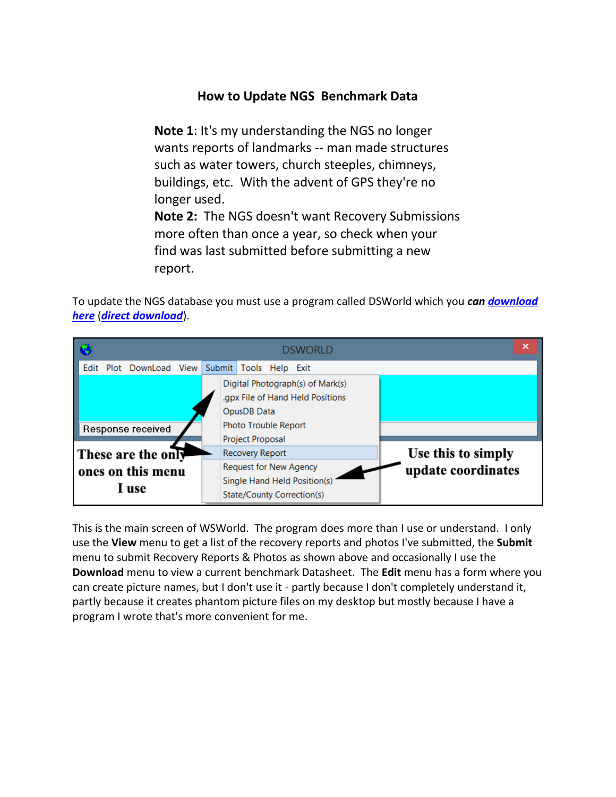## **How to Update NGS Benchmark Data**

**Note 1**: It's my understanding the NGS no longer wants reports of landmarks -- man made structures such as water towers, church steeples, chimneys, buildings, etc. With the advent of GPS they're no longer used.

**Note 2:** The NGS doesn't want Recovery Submissions more often than once a year, so check when your find was last submitted before submitting a new report.

To update the NGS database you must use a program called DSWorld which you *can [download](http://geodesy.noaa.gov/PC_PROD/PARTNERS/index.shtml)  [here](http://geodesy.noaa.gov/PC_PROD/PARTNERS/index.shtml)* (*[direct download](http://geodesy.noaa.gov/PC_PROD/PARTNERS/DSWORLD/DSWorldV300.zip)*).



This is the main screen of WSWorld. The program does more than I use or understand. I only use the **View** menu to get a list of the recovery reports and photos I've submitted, the **Submit** menu to submit Recovery Reports & Photos as shown above and occasionally I use the **Download** menu to view a current benchmark Datasheet. The **Edit** menu has a form where you can create picture names, but I don't use it - partly because I don't completely understand it, partly because it creates phantom picture files on my desktop but mostly because I have a program I wrote that's more convenient for me.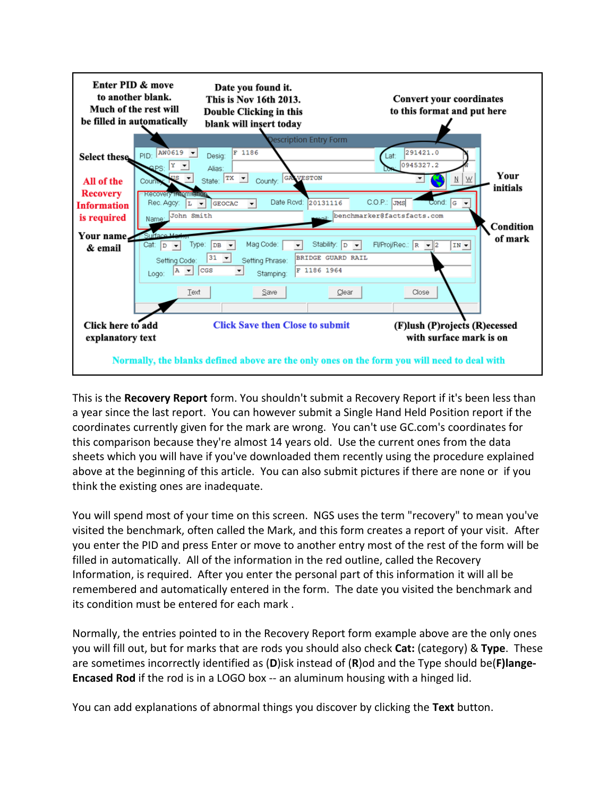

This is the **Recovery Report** form. You shouldn't submit a Recovery Report if it's been less than a year since the last report. You can however submit a Single Hand Held Position report if the coordinates currently given for the mark are wrong. You can't use GC.com's coordinates for this comparison because they're almost 14 years old. Use the current ones from the data sheets which you will have if you've downloaded them recently using the procedure explained above at the beginning of this article. You can also submit pictures if there are none or if you think the existing ones are inadequate.

You will spend most of your time on this screen. NGS uses the term "recovery" to mean you've visited the benchmark, often called the Mark, and this form creates a report of your visit. After you enter the PID and press Enter or move to another entry most of the rest of the form will be filled in automatically. All of the information in the red outline, called the Recovery Information, is required. After you enter the personal part of this information it will all be remembered and automatically entered in the form. The date you visited the benchmark and its condition must be entered for each mark .

Normally, the entries pointed to in the Recovery Report form example above are the only ones you will fill out, but for marks that are rods you should also check **Cat:** (category) & **Type**. These are sometimes incorrectly identified as (**D**)isk instead of (**R**)od and the Type should be(**F)lange-Encased Rod** if the rod is in a LOGO box -- an aluminum housing with a hinged lid.

You can add explanations of abnormal things you discover by clicking the **Text** button.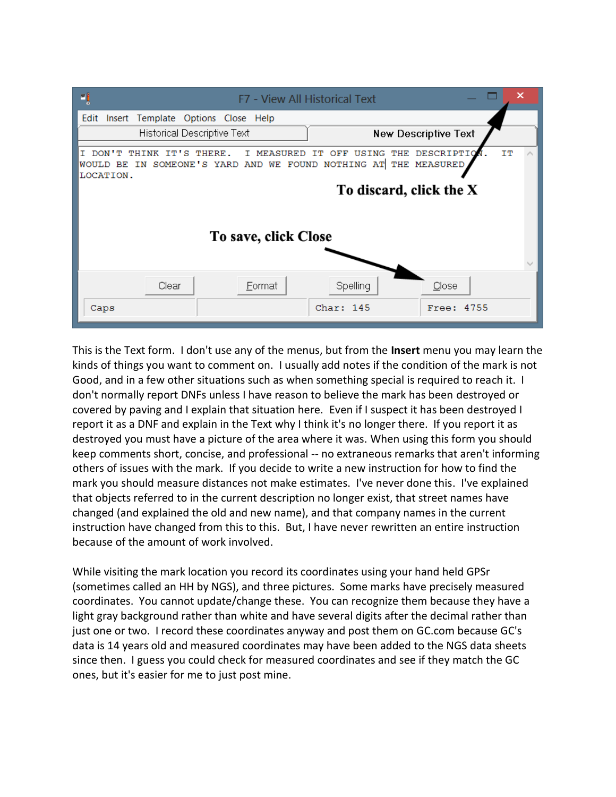

This is the Text form. I don't use any of the menus, but from the **Insert** menu you may learn the kinds of things you want to comment on. I usually add notes if the condition of the mark is not Good, and in a few other situations such as when something special is required to reach it. I don't normally report DNFs unless I have reason to believe the mark has been destroyed or covered by paving and I explain that situation here. Even if I suspect it has been destroyed I report it as a DNF and explain in the Text why I think it's no longer there. If you report it as destroyed you must have a picture of the area where it was. When using this form you should keep comments short, concise, and professional -- no extraneous remarks that aren't informing others of issues with the mark. If you decide to write a new instruction for how to find the mark you should measure distances not make estimates. I've never done this. I've explained that objects referred to in the current description no longer exist, that street names have changed (and explained the old and new name), and that company names in the current instruction have changed from this to this. But, I have never rewritten an entire instruction because of the amount of work involved.

While visiting the mark location you record its coordinates using your hand held GPSr (sometimes called an HH by NGS), and three pictures. Some marks have precisely measured coordinates. You cannot update/change these. You can recognize them because they have a light gray background rather than white and have several digits after the decimal rather than just one or two. I record these coordinates anyway and post them on GC.com because GC's data is 14 years old and measured coordinates may have been added to the NGS data sheets since then. I guess you could check for measured coordinates and see if they match the GC ones, but it's easier for me to just post mine.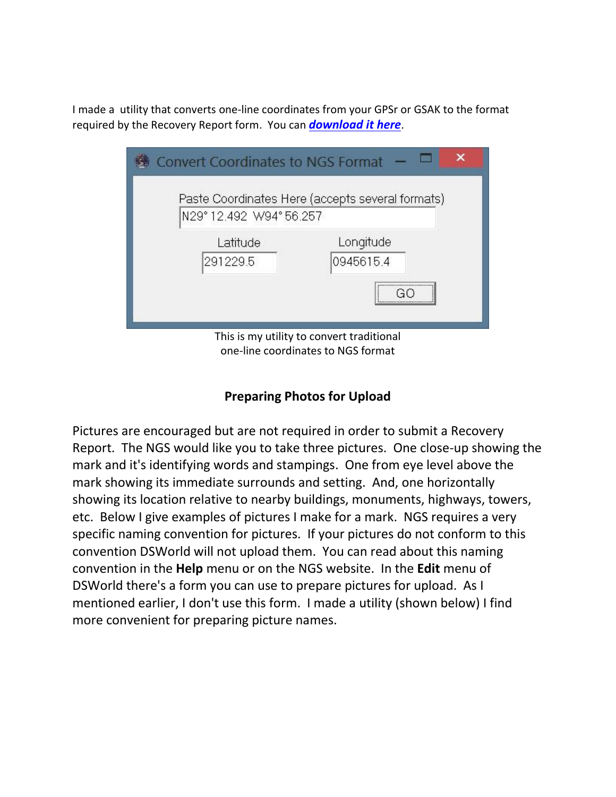I made a utility that converts one-line coordinates from your GPSr or GSAK to the format required by the Recovery Report form. You can *[download it here](http://www.factsfacts.com/benchmarking/)*.

| <b>Convert Coordinates to NGS Format</b>                                        |                        |
|---------------------------------------------------------------------------------|------------------------|
| Paste Coordinates Here (accepts several formats)<br>N29°12.492 W94°56.257       |                        |
| Latitude<br>291229.5                                                            | Longitude<br>0945615.4 |
| <br>                                                                            |                        |
| This is my utility to convert traditional<br>one-line coordinates to NGS format |                        |

**Preparing Photos for Upload**

Pictures are encouraged but are not required in order to submit a Recovery Report. The NGS would like you to take three pictures. One close-up showing the mark and it's identifying words and stampings. One from eye level above the mark showing its immediate surrounds and setting. And, one horizontally showing its location relative to nearby buildings, monuments, highways, towers, etc. Below I give examples of pictures I make for a mark. NGS requires a very specific naming convention for pictures. If your pictures do not conform to this convention DSWorld will not upload them. You can read about this naming convention in the **Help** menu or on the NGS website. In the **Edit** menu of DSWorld there's a form you can use to prepare pictures for upload. As I mentioned earlier, I don't use this form. I made a utility (shown below) I find more convenient for preparing picture names.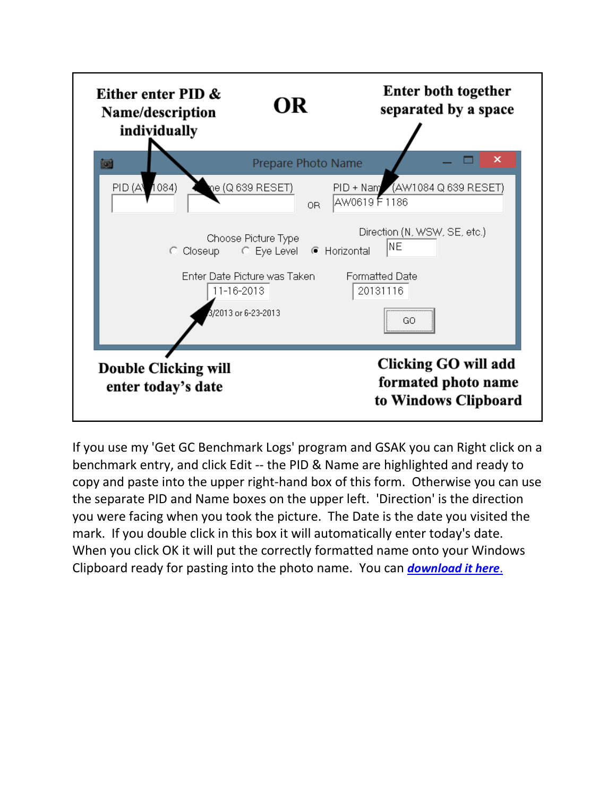

If you use my 'Get GC Benchmark Logs' program and GSAK you can Right click on a benchmark entry, and click Edit -- the PID & Name are highlighted and ready to copy and paste into the upper right-hand box of this form. Otherwise you can use the separate PID and Name boxes on the upper left. 'Direction' is the direction you were facing when you took the picture. The Date is the date you visited the mark. If you double click in this box it will automatically enter today's date. When you click OK it will put the correctly formatted name onto your Windows Clipboard ready for pasting into the photo name. You can *[download it here](http://www.factsfacts.com/benchmarking/)*.